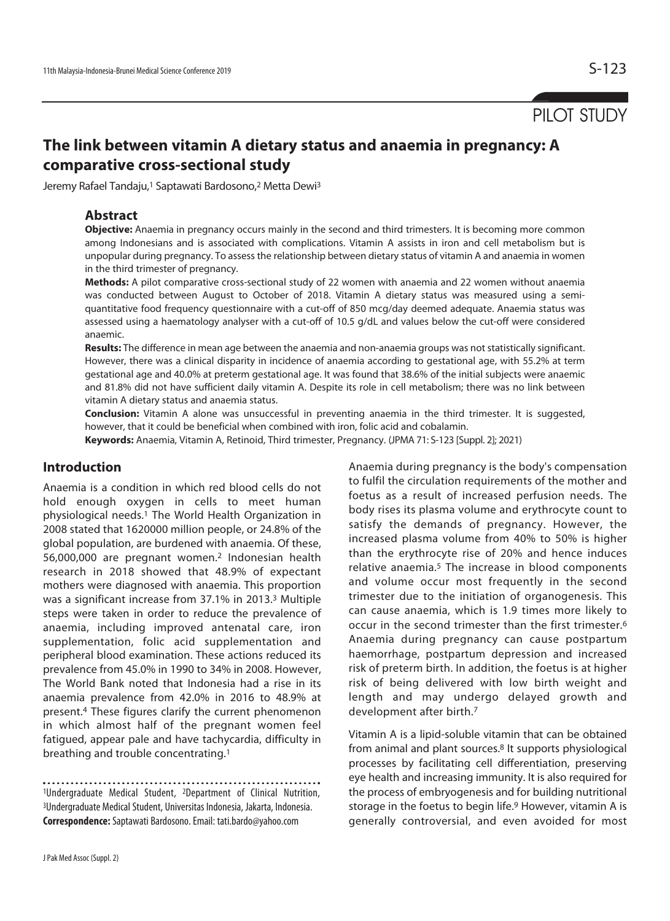# **The link between vitamin A dietary status and anaemia in pregnancy: A comparative cross-sectional study**

Jeremy Rafael Tandaju,<sup>1</sup> Saptawati Bardosono,<sup>2</sup> Metta Dewi<sup>3</sup>

## **Abstract**

**Objective:** Anaemia in pregnancy occurs mainly in the second and third trimesters. It is becoming more common among Indonesians and is associated with complications. Vitamin A assists in iron and cell metabolism but is unpopular during pregnancy. To assess the relationship between dietary status of vitamin A and anaemia in women in the third trimester of pregnancy.

**Methods:** A pilot comparative cross-sectional study of 22 women with anaemia and 22 women without anaemia was conducted between August to October of 2018. Vitamin A dietary status was measured using a semiquantitative food frequency questionnaire with a cut-off of 850 mcg/day deemed adequate. Anaemia status was assessed using a haematology analyser with a cut-off of 10.5 g/dL and values below the cut-off were considered anaemic.

**Results:** The difference in mean age between the anaemia and non-anaemia groups was not statistically significant. However, there was a clinical disparity in incidence of anaemia according to gestational age, with 55.2% at term gestational age and 40.0% at preterm gestational age. It was found that 38.6% of the initial subjects were anaemic and 81.8% did not have sufficient daily vitamin A. Despite its role in cell metabolism; there was no link between vitamin A dietary status and anaemia status.

**Conclusion:** Vitamin A alone was unsuccessful in preventing anaemia in the third trimester. It is suggested, however, that it could be beneficial when combined with iron, folic acid and cobalamin.

**Keywords:** Anaemia, Vitamin A, Retinoid, Third trimester, Pregnancy. (JPMA 71: S-123 [Suppl. 2]; 2021)

## **Introduction**

Anaemia is a condition in which red blood cells do not hold enough oxygen in cells to meet human physiological needs.1 The World Health Organization in 2008 stated that 1620000 million people, or 24.8% of the global population, are burdened with anaemia. Of these, 56,000,000 are pregnant women.2 Indonesian health research in 2018 showed that 48.9% of expectant mothers were diagnosed with anaemia. This proportion was a significant increase from 37.1% in 2013.3 Multiple steps were taken in order to reduce the prevalence of anaemia, including improved antenatal care, iron supplementation, folic acid supplementation and peripheral blood examination. These actions reduced its prevalence from 45.0% in 1990 to 34% in 2008. However, The World Bank noted that Indonesia had a rise in its anaemia prevalence from 42.0% in 2016 to 48.9% at present.4 These figures clarify the current phenomenon in which almost half of the pregnant women feel fatigued, appear pale and have tachycardia, difficulty in breathing and trouble concentrating.1

1Undergraduate Medical Student, 2Department of Clinical Nutrition, 3Undergraduate Medical Student, Universitas Indonesia, Jakarta, Indonesia. **Correspondence:** Saptawati Bardosono. Email: tati.bardo@yahoo.com

Anaemia during pregnancy is the body's compensation to fulfil the circulation requirements of the mother and foetus as a result of increased perfusion needs. The body rises its plasma volume and erythrocyte count to satisfy the demands of pregnancy. However, the increased plasma volume from 40% to 50% is higher than the erythrocyte rise of 20% and hence induces relative anaemia.5 The increase in blood components and volume occur most frequently in the second trimester due to the initiation of organogenesis. This can cause anaemia, which is 1.9 times more likely to occur in the second trimester than the first trimester.6 Anaemia during pregnancy can cause postpartum haemorrhage, postpartum depression and increased risk of preterm birth. In addition, the foetus is at higher risk of being delivered with low birth weight and length and may undergo delayed growth and development after birth.7

Vitamin A is a lipid-soluble vitamin that can be obtained from animal and plant sources.8 It supports physiological processes by facilitating cell differentiation, preserving eye health and increasing immunity. It is also required for the process of embryogenesis and for building nutritional storage in the foetus to begin life.9 However, vitamin A is generally controversial, and even avoided for most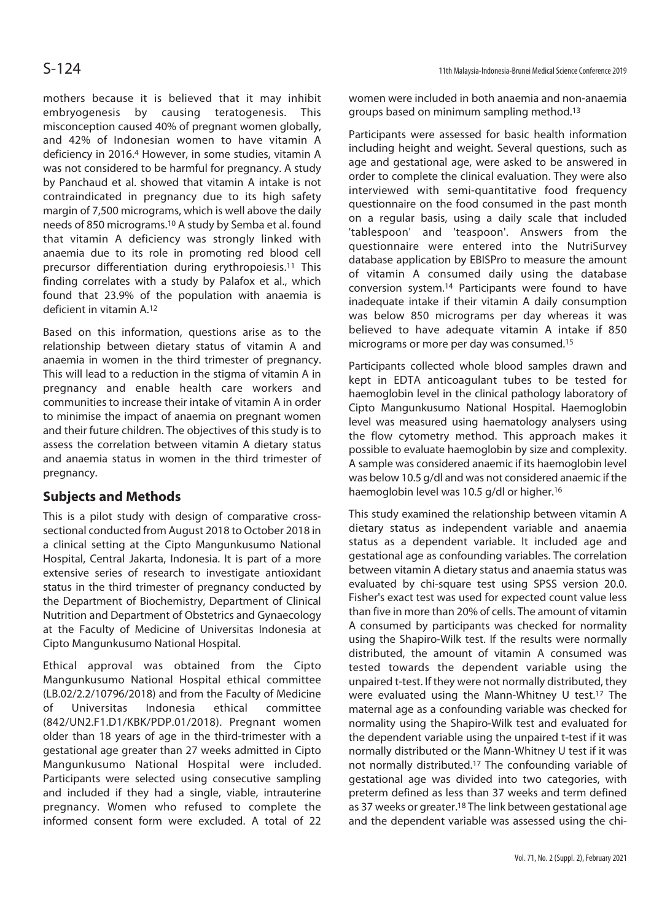mothers because it is believed that it may inhibit embryogenesis by causing teratogenesis. This misconception caused 40% of pregnant women globally, and 42% of Indonesian women to have vitamin A deficiency in 2016.4 However, in some studies, vitamin A was not considered to be harmful for pregnancy. A study by Panchaud et al. showed that vitamin A intake is not contraindicated in pregnancy due to its high safety margin of 7,500 micrograms, which is well above the daily needs of 850 micrograms.10 A study by Semba et al. found that vitamin A deficiency was strongly linked with anaemia due to its role in promoting red blood cell precursor differentiation during erythropoiesis.11 This finding correlates with a study by Palafox et al., which found that 23.9% of the population with anaemia is deficient in vitamin A.12

Based on this information, questions arise as to the relationship between dietary status of vitamin A and anaemia in women in the third trimester of pregnancy. This will lead to a reduction in the stigma of vitamin A in pregnancy and enable health care workers and communities to increase their intake of vitamin A in order to minimise the impact of anaemia on pregnant women and their future children. The objectives of this study is to assess the correlation between vitamin A dietary status and anaemia status in women in the third trimester of pregnancy.

## **Subjects and Methods**

This is a pilot study with design of comparative crosssectional conducted from August 2018 to October 2018 in a clinical setting at the Cipto Mangunkusumo National Hospital, Central Jakarta, Indonesia. It is part of a more extensive series of research to investigate antioxidant status in the third trimester of pregnancy conducted by the Department of Biochemistry, Department of Clinical Nutrition and Department of Obstetrics and Gynaecology at the Faculty of Medicine of Universitas Indonesia at Cipto Mangunkusumo National Hospital.

Ethical approval was obtained from the Cipto Mangunkusumo National Hospital ethical committee (LB.02/2.2/10796/2018) and from the Faculty of Medicine of Universitas Indonesia ethical committee (842/UN2.F1.D1/KBK/PDP.01/2018). Pregnant women older than 18 years of age in the third-trimester with a gestational age greater than 27 weeks admitted in Cipto Mangunkusumo National Hospital were included. Participants were selected using consecutive sampling and included if they had a single, viable, intrauterine pregnancy. Women who refused to complete the informed consent form were excluded. A total of 22

women were included in both anaemia and non-anaemia groups based on minimum sampling method.13

Participants were assessed for basic health information including height and weight. Several questions, such as age and gestational age, were asked to be answered in order to complete the clinical evaluation. They were also interviewed with semi-quantitative food frequency questionnaire on the food consumed in the past month on a regular basis, using a daily scale that included 'tablespoon' and 'teaspoon'. Answers from the questionnaire were entered into the NutriSurvey database application by EBISPro to measure the amount of vitamin A consumed daily using the database conversion system.14 Participants were found to have inadequate intake if their vitamin A daily consumption was below 850 micrograms per day whereas it was believed to have adequate vitamin A intake if 850 micrograms or more per day was consumed.15

Participants collected whole blood samples drawn and kept in EDTA anticoagulant tubes to be tested for haemoglobin level in the clinical pathology laboratory of Cipto Mangunkusumo National Hospital. Haemoglobin level was measured using haematology analysers using the flow cytometry method. This approach makes it possible to evaluate haemoglobin by size and complexity. A sample was considered anaemic if its haemoglobin level was below 10.5 g/dl and was not considered anaemic if the haemoglobin level was 10.5 g/dl or higher.16

This study examined the relationship between vitamin A dietary status as independent variable and anaemia status as a dependent variable. It included age and gestational age as confounding variables. The correlation between vitamin A dietary status and anaemia status was evaluated by chi-square test using SPSS version 20.0. Fisher's exact test was used for expected count value less than five in more than 20% of cells. The amount of vitamin A consumed by participants was checked for normality using the Shapiro-Wilk test. If the results were normally distributed, the amount of vitamin A consumed was tested towards the dependent variable using the unpaired t-test. If they were not normally distributed, they were evaluated using the Mann-Whitney U test.17 The maternal age as a confounding variable was checked for normality using the Shapiro-Wilk test and evaluated for the dependent variable using the unpaired t-test if it was normally distributed or the Mann-Whitney U test if it was not normally distributed.17 The confounding variable of gestational age was divided into two categories, with preterm defined as less than 37 weeks and term defined as 37 weeks or greater.18 The link between gestational age and the dependent variable was assessed using the chi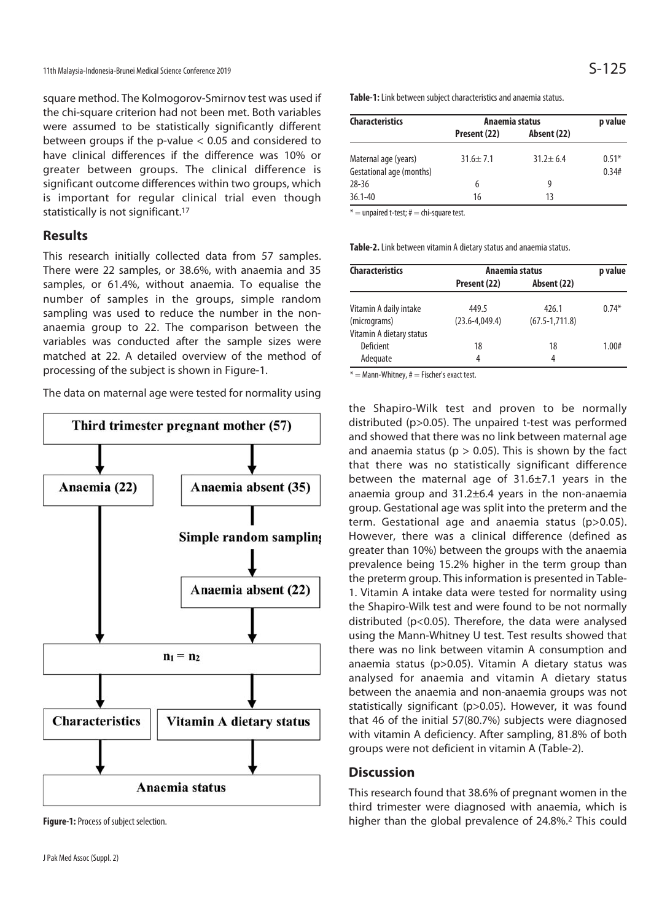square method. The Kolmogorov-Smirnov test was used if the chi-square criterion had not been met. Both variables were assumed to be statistically significantly different between groups if the p-value < 0.05 and considered to have clinical differences if the difference was 10% or greater between groups. The clinical difference is significant outcome differences within two groups, which is important for regular clinical trial even though statistically is not significant.<sup>17</sup>

### **Results**

This research initially collected data from 57 samples. There were 22 samples, or 38.6%, with anaemia and 35 samples, or 61.4%, without anaemia. To equalise the number of samples in the groups, simple random sampling was used to reduce the number in the nonanaemia group to 22. The comparison between the variables was conducted after the sample sizes were matched at 22. A detailed overview of the method of processing of the subject is shown in Figure-1.

The data on maternal age were tested for normality using



**Figure-1:** Process of subject selection.

| <b>Characteristics</b>                           | Anaemia status |                | p value          |
|--------------------------------------------------|----------------|----------------|------------------|
|                                                  | Present (22)   | Absent (22)    |                  |
| Maternal age (years)<br>Gestational age (months) | $31.6 \pm 7.1$ | $31.2 \pm 6.4$ | $0.51*$<br>0.34# |
| $28 - 36$                                        | 6              | 9              |                  |
| $36.1 - 40$                                      | 16             | 13             |                  |

 $* =$  unpaired t-test;  $# =$  chi-square test.

**Table-2.** Link between vitamin A dietary status and anaemia status.

| <b>Characteristics</b>   | Anaemia status     |                    | p value |
|--------------------------|--------------------|--------------------|---------|
|                          | Present (22)       | Absent (22)        |         |
| Vitamin A daily intake   | 449.5              | 426.1              | $0.74*$ |
| (micrograms)             | $(23.6 - 4.049.4)$ | $(67.5 - 1.711.8)$ |         |
| Vitamin A dietary status |                    |                    |         |
| Deficient                | 18                 | 18                 | 1.00#   |
| Adequate                 | 4                  | 4                  |         |

 $* =$  Mann-Whitney,  $# =$  Fischer's exact test.

the Shapiro-Wilk test and proven to be normally distributed (p>0.05). The unpaired t-test was performed and showed that there was no link between maternal age and anaemia status ( $p > 0.05$ ). This is shown by the fact that there was no statistically significant difference between the maternal age of 31.6±7.1 years in the anaemia group and  $31.2\pm6.4$  years in the non-anaemia group. Gestational age was split into the preterm and the term. Gestational age and anaemia status (p>0.05). However, there was a clinical difference (defined as greater than 10%) between the groups with the anaemia prevalence being 15.2% higher in the term group than the preterm group. This information is presented in Table-1. Vitamin A intake data were tested for normality using the Shapiro-Wilk test and were found to be not normally distributed (p<0.05). Therefore, the data were analysed using the Mann-Whitney U test. Test results showed that there was no link between vitamin A consumption and anaemia status (p>0.05). Vitamin A dietary status was analysed for anaemia and vitamin A dietary status between the anaemia and non-anaemia groups was not statistically significant (p>0.05). However, it was found that 46 of the initial 57(80.7%) subjects were diagnosed with vitamin A deficiency. After sampling, 81.8% of both groups were not deficient in vitamin A (Table-2).

#### **Discussion**

This research found that 38.6% of pregnant women in the third trimester were diagnosed with anaemia, which is higher than the global prevalence of 24.8%.2 This could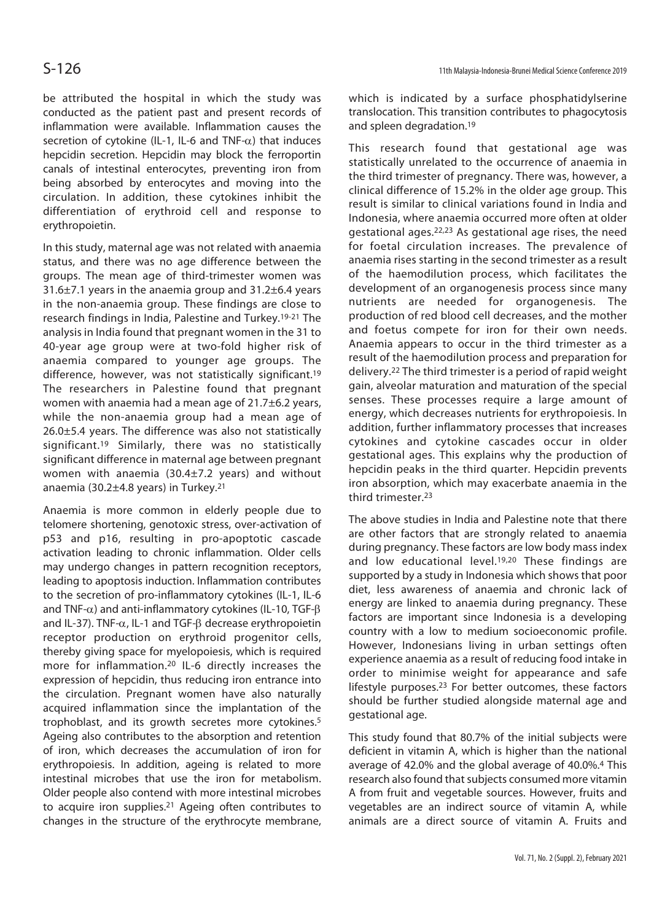be attributed the hospital in which the study was conducted as the patient past and present records of inflammation were available. Inflammation causes the secretion of cytokine (IL-1, IL-6 and TNF- $\alpha$ ) that induces hepcidin secretion. Hepcidin may block the ferroportin canals of intestinal enterocytes, preventing iron from being absorbed by enterocytes and moving into the circulation. In addition, these cytokines inhibit the differentiation of erythroid cell and response to erythropoietin.

In this study, maternal age was not related with anaemia status, and there was no age difference between the groups. The mean age of third-trimester women was 31.6±7.1 years in the anaemia group and 31.2±6.4 years in the non-anaemia group. These findings are close to research findings in India, Palestine and Turkey.19-21 The analysis in India found that pregnant women in the 31 to 40-year age group were at two-fold higher risk of anaemia compared to younger age groups. The difference, however, was not statistically significant.19 The researchers in Palestine found that pregnant women with anaemia had a mean age of 21.7±6.2 years, while the non-anaemia group had a mean age of 26.0±5.4 years. The difference was also not statistically significant.19 Similarly, there was no statistically significant difference in maternal age between pregnant women with anaemia (30.4±7.2 years) and without anaemia (30.2±4.8 years) in Turkey.21

Anaemia is more common in elderly people due to telomere shortening, genotoxic stress, over-activation of p53 and p16, resulting in pro-apoptotic cascade activation leading to chronic inflammation. Older cells may undergo changes in pattern recognition receptors, leading to apoptosis induction. Inflammation contributes to the secretion of pro-inflammatory cytokines (IL-1, IL-6 and TNF-α) and anti-inflammatory cytokines (IL-10, TGF-β and IL-37). TNF-α, IL-1 and TGF-β decrease erythropoietin receptor production on erythroid progenitor cells, thereby giving space for myelopoiesis, which is required more for inflammation.20 IL-6 directly increases the expression of hepcidin, thus reducing iron entrance into the circulation. Pregnant women have also naturally acquired inflammation since the implantation of the trophoblast, and its growth secretes more cytokines.5 Ageing also contributes to the absorption and retention of iron, which decreases the accumulation of iron for erythropoiesis. In addition, ageing is related to more intestinal microbes that use the iron for metabolism. Older people also contend with more intestinal microbes to acquire iron supplies.21 Ageing often contributes to changes in the structure of the erythrocyte membrane,

which is indicated by a surface phosphatidylserine translocation. This transition contributes to phagocytosis and spleen degradation.19

This research found that gestational age was statistically unrelated to the occurrence of anaemia in the third trimester of pregnancy. There was, however, a clinical difference of 15.2% in the older age group. This result is similar to clinical variations found in India and Indonesia, where anaemia occurred more often at older gestational ages.22,23 As gestational age rises, the need for foetal circulation increases. The prevalence of anaemia rises starting in the second trimester as a result of the haemodilution process, which facilitates the development of an organogenesis process since many nutrients are needed for organogenesis. The production of red blood cell decreases, and the mother and foetus compete for iron for their own needs. Anaemia appears to occur in the third trimester as a result of the haemodilution process and preparation for delivery.22 The third trimester is a period of rapid weight gain, alveolar maturation and maturation of the special senses. These processes require a large amount of energy, which decreases nutrients for erythropoiesis. In addition, further inflammatory processes that increases cytokines and cytokine cascades occur in older gestational ages. This explains why the production of hepcidin peaks in the third quarter. Hepcidin prevents iron absorption, which may exacerbate anaemia in the third trimester.23

The above studies in India and Palestine note that there are other factors that are strongly related to anaemia during pregnancy. These factors are low body mass index and low educational level.19,20 These findings are supported by a study in Indonesia which shows that poor diet, less awareness of anaemia and chronic lack of energy are linked to anaemia during pregnancy. These factors are important since Indonesia is a developing country with a low to medium socioeconomic profile. However, Indonesians living in urban settings often experience anaemia as a result of reducing food intake in order to minimise weight for appearance and safe lifestyle purposes.23 For better outcomes, these factors should be further studied alongside maternal age and gestational age.

This study found that 80.7% of the initial subjects were deficient in vitamin A, which is higher than the national average of 42.0% and the global average of 40.0%.4 This research also found that subjects consumed more vitamin A from fruit and vegetable sources. However, fruits and vegetables are an indirect source of vitamin A, while animals are a direct source of vitamin A. Fruits and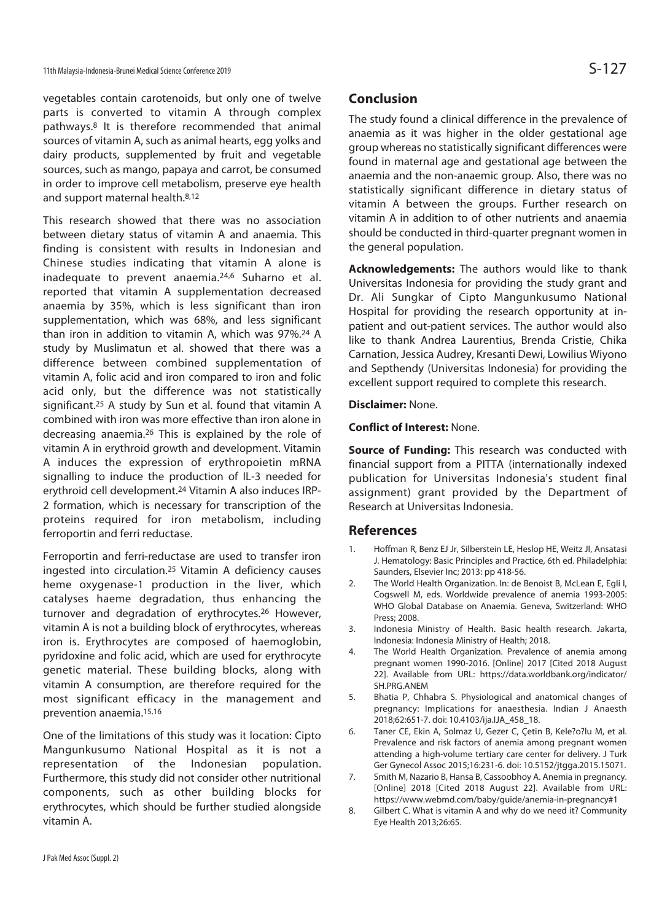vegetables contain carotenoids, but only one of twelve parts is converted to vitamin A through complex pathways.8 It is therefore recommended that animal sources of vitamin A, such as animal hearts, egg yolks and dairy products, supplemented by fruit and vegetable sources, such as mango, papaya and carrot, be consumed in order to improve cell metabolism, preserve eye health and support maternal health.8,12

This research showed that there was no association between dietary status of vitamin A and anaemia. This finding is consistent with results in Indonesian and Chinese studies indicating that vitamin A alone is inadequate to prevent anaemia.24,6 Suharno et al. reported that vitamin A supplementation decreased anaemia by 35%, which is less significant than iron supplementation, which was 68%, and less significant than iron in addition to vitamin A, which was 97%.24 A study by Muslimatun et al. showed that there was a difference between combined supplementation of vitamin A, folic acid and iron compared to iron and folic acid only, but the difference was not statistically significant.25 A study by Sun et al. found that vitamin A combined with iron was more effective than iron alone in decreasing anaemia.26 This is explained by the role of vitamin A in erythroid growth and development. Vitamin A induces the expression of erythropoietin mRNA signalling to induce the production of IL-3 needed for erythroid cell development.24 Vitamin A also induces IRP-2 formation, which is necessary for transcription of the proteins required for iron metabolism, including ferroportin and ferri reductase.

Ferroportin and ferri-reductase are used to transfer iron ingested into circulation.25 Vitamin A deficiency causes heme oxygenase-1 production in the liver, which catalyses haeme degradation, thus enhancing the turnover and degradation of erythrocytes.26 However, vitamin A is not a building block of erythrocytes, whereas iron is. Erythrocytes are composed of haemoglobin, pyridoxine and folic acid, which are used for erythrocyte genetic material. These building blocks, along with vitamin A consumption, are therefore required for the most significant efficacy in the management and prevention anaemia.15,16

One of the limitations of this study was it location: Cipto Mangunkusumo National Hospital as it is not a representation of the Indonesian population. Furthermore, this study did not consider other nutritional components, such as other building blocks for erythrocytes, which should be further studied alongside vitamin A.

## **Conclusion**

The study found a clinical difference in the prevalence of anaemia as it was higher in the older gestational age group whereas no statistically significant differences were found in maternal age and gestational age between the anaemia and the non-anaemic group. Also, there was no statistically significant difference in dietary status of vitamin A between the groups. Further research on vitamin A in addition to of other nutrients and anaemia should be conducted in third-quarter pregnant women in the general population.

**Acknowledgements:** The authors would like to thank Universitas Indonesia for providing the study grant and Dr. Ali Sungkar of Cipto Mangunkusumo National Hospital for providing the research opportunity at inpatient and out-patient services. The author would also like to thank Andrea Laurentius, Brenda Cristie, Chika Carnation, Jessica Audrey, Kresanti Dewi, Lowilius Wiyono and Septhendy (Universitas Indonesia) for providing the excellent support required to complete this research.

#### **Disclaimer:** None.

#### **Conflict of Interest:** None.

**Source of Funding:** This research was conducted with financial support from a PITTA (internationally indexed publication for Universitas Indonesia's student final assignment) grant provided by the Department of Research at Universitas Indonesia.

#### **References**

- 1. Hoffman R, Benz EJ Jr, Silberstein LE, Heslop HE, Weitz JI, Ansatasi J. Hematology: Basic Principles and Practice, 6th ed. Philadelphia: Saunders, Elsevier Inc; 2013: pp 418-56.
- 2. The World Health Organization. In: de Benoist B, McLean E, Egli I, Cogswell M, eds. Worldwide prevalence of anemia 1993-2005: WHO Global Database on Anaemia. Geneva, Switzerland: WHO Press; 2008.
- 3. Indonesia Ministry of Health. Basic health research. Jakarta, Indonesia: Indonesia Ministry of Health; 2018.
- 4. The World Health Organization. Prevalence of anemia among pregnant women 1990-2016. [Online] 2017 [Cited 2018 August 22]. Available from URL: https://data.worldbank.org/indicator/ SH.PRG.ANEM
- 5. Bhatia P, Chhabra S. Physiological and anatomical changes of pregnancy: Implications for anaesthesia. Indian J Anaesth 2018;62:651-7. doi: 10.4103/ija.IJA\_458\_18.
- 6. Taner CE, Ekin A, Solmaz U, Gezer C, Çetin B, Kele?o?lu M, et al. Prevalence and risk factors of anemia among pregnant women attending a high-volume tertiary care center for delivery. J Turk Ger Gynecol Assoc 2015;16:231-6. doi: 10.5152/jtgga.2015.15071.
- 7. Smith M, Nazario B, Hansa B, Cassoobhoy A. Anemia in pregnancy. [Online] 2018 [Cited 2018 August 22]. Available from URL: https://www.webmd.com/baby/guide/anemia-in-pregnancy#1
- 8. Gilbert C. What is vitamin A and why do we need it? Community Eye Health 2013;26:65.